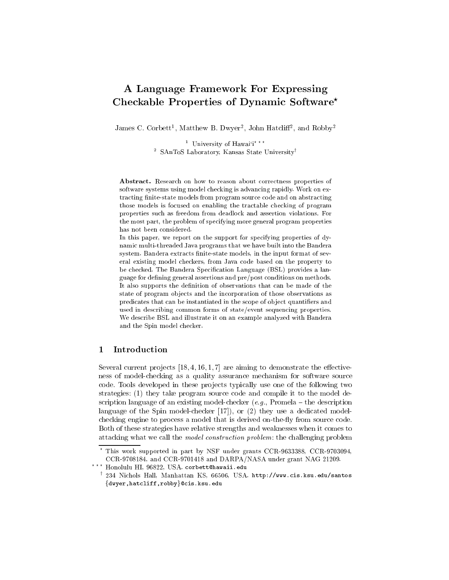# A Language Framework For Expressing Checkable Properties of Dynamic Software?

James C. Corbett", Matthew B. Dwyer", John Hatchn", and Robby-

<sup>1</sup> University of Hawai`i<sup>\*\*\*</sup> - SAntoS Laboratory, Kansas State University'

Abstract. Research on how to reason about correctness properties of software systems using model checking is advancing rapidly. Work on extracting finite-state models from program source code and on abstracting those models is focused on enabling the tractable checking of program properties such as freedom from deadlock and assertion violations. For the most part, the problem of specifying more general program properties has not been considered.

In this paper, we report on the support for specifying properties of dynamic multi-threaded Java programs that we have built into the Bandera system. Bandera extracts finite-state models, in the input format of several existing model checkers, from Java code based on the property to be checked. The Bandera Specification Language (BSL) provides a language for defining general assertions and pre/post conditions on methods. It also supports the definition of observations that can be made of the state of program ob jects and the incorporation of those observations as predicates that can be instantiated in the scope of object quantifiers and used in describing common forms of state/event sequencing properties. We describe BSL and illustrate it on an example analyzed with Bandera and the Spin model checker.

# 1 Introduction

Several current projects  $[18, 4, 16, 1, 7]$  are aiming to demonstrate the effectiveness of model-checking as a quality assurance mechanism for software source code. Tools developed in these projects typically use one of the following two strategies: (1) they take program source code and compile it to the model description language of an existing model-checker  $(e.g.,$  Promela – the description language of the Spin model-checker [17]), or (2) they use a dedicated modelchecking engine to process a model that is derived on-the-fly from source code. Both of these strategies have relative strengths and weaknesses when it comes to attacking what we call the model construction problem: the challenging problem

<sup>?</sup> This work supported in part by NSF under grants CCR-9633388, CCR-9703094, CCR-9708184, and CCR-9701418 and DARPA/NASA under grant NAG 21209.

<sup>???</sup> Honolulu HI, 96822, USA. corbett@hawaii.edu

<sup>&#</sup>x27;234 Nichols Hall, Manhattan KS, 66506, USA. http://www.cis.ksu.edu/santos {dwyer,hatcliff,robby}@cis.ksu.edu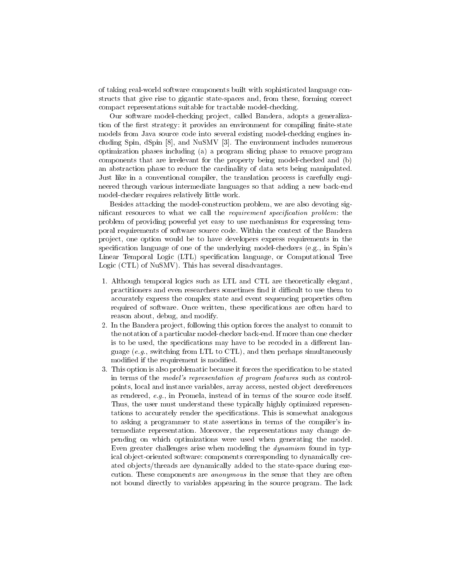of taking real-world software components built with sophisticated language constructs that give rise to gigantic state-spaces and, from these, forming correct compact representations suitable for tractable model-checking.

Our software model-checking project, called Bandera, adopts a generalization of the first strategy: it provides an environment for compiling finite-state models from Java source code into several existing model-checking engines including Spin, dSpin [8], and NuSMV [3]. The environment includes numerous optimization phases including (a) a program slicing phase to remove program components that are irrelevant for the property being model-checked and (b) an abstraction phase to reduce the cardinality of data sets being manipulated. Just like in a conventional compiler, the translation process is carefully engineered through various intermediate languages so that adding a new back-end model-checker requires relatively little work.

Besides attacking the model-construction problem, we are also devoting significant resources to what we call the *requirement specification problem*: the problem of providing powerful yet easy to use mechanisms for expressing temporal requirements of software source code. Within the context of the Bandera pro ject, one option would be to have developers express requirements in the specification language of one of the underlying model-checkers (e.g., in Spin's Linear Temporal Logic (LTL) specification language, or Computational Tree Logic (CTL) of NuSMV). This has several disadvantages.

- 1. Although temporal logics such as LTL and CTL are theoretically elegant, practitioners and even researchers sometimes find it difficult to use them to accurately express the complex state and event sequencing properties often required of software. Once written, these specifications are often hard to required of software. Once written, these specications are often hard to reason about, debug, and modify.
- 2. In the Bandera project, following this option forces the analyst to commit to the notation of a particular model-checker back-end. If more than one checker is to be used, the specifications may have to be recoded in a different language (e.g., switching from LTL to CTL), and then perhaps simultaneously modified if the requirement is modified.
- 3. This option is also problematic because it forces the specification to be stated in terms of the model's representation of program features such as controlpoints, local and instance variables, array access, nested ob ject dereferences as rendered, e.g., in Promela, instead of in terms of the source code itself. Thus, the user must understand these typically highly optimized representations to accurately render the specications. This is somewhat analogous to asking a programmer to state assertions in terms of the compiler's intermediate representation. Moreover, the representations may change depending on which optimizations were used when generating the model. Even greater challenges arise when modeling the dynamism found in typical ob ject-oriented software: components corresponding to dynamically created ob jects/threads are dynamically added to the state-space during execution. These components are anonymous in the sense that they are often not bound directly to variables appearing in the source program. The lack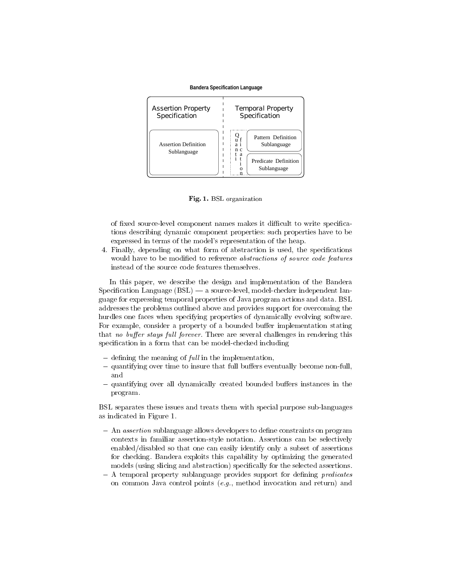

Fig. 1. BSL organization

of fixed source-level component names makes it difficult to write specifications describing dynamic component properties: such properties have to be expressed in terms of the model's representation of the heap.

4. Finally, depending on what form of abstraction is used, the specications would have to be modified to reference *abstractions* of source code features instead of the source code features themselves.

In this paper, we describe the design and implementation of the Bandera Specification Language  $(BSL)$  — a source-level, model-checker independent language for expressing temporal properties of Java program actions and data. BSL addresses the problems outlined above and provides support for overcoming the hurdles one faces when specifying properties of dynamically evolving software. For example, consider a property of a bounded buffer implementation stating that no buffer stays full forever. There are several challenges in rendering this specification in a form that can be model-checked including

- $-$  defining the meaning of full in the implementation,
- quantifying over time to insure that full buffers eventually become non-full,
- $\frac{1}{2}$  quantifying over all dynamically created bounded buffers instances in the program.

BSL separates these issues and treats them with special purpose sub-languages as indicated in Figure 1.

- An *assertion* sublanguage allows developers to define constraints on program contexts in familiar assertion-style notation. Assertions can be selectively enabled/disabled so that one can easily identify only a subset of assertions for checking. Bandera exploits this capability by optimizing the generated models (using slicing and abstraction) specically for the selected assertions.
- A temporal property sublanguage provides support for defining *predicates* on common Java control points (e.g., method invocation and return) and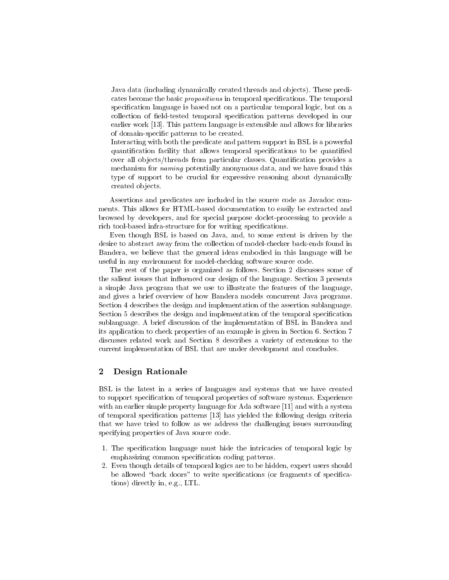Java data (including dynamically created threads and objects). These predicates become the basic *propositions* in temporal specifications. The temporal specification language is based not on a particular temporal logic, but on a collection of field-tested temporal specification patterns developed in our earlier work [13]. This pattern language is extensible and allows for libraries of domain-specic patterns to be created.

Interacting with both the predicate and pattern support in BSL is a powerful quantification facility that allows temporal specifications to be quantified over all objects/threads from particular classes. Quantification provides a mechanism for naming potentially anonymous data, and we have found this type of support to be crucial for expressive reasoning about dynamically created ob jects.

Assertions and predicates are included in the source code as Javadoc comments. This allows for HTML-based documentation to easily be extracted and browsed by developers, and for special purpose doclet-processing to provide a rich tool-based infra-structure for for writing specifications.

Even though BSL is based on Java, and, to some extent is driven by the desire to abstract away from the collection of model-checker back-ends found in Bandera, we believe that the general ideas embodied in this language will be useful in any environment for model-checking software source code.

The rest of the paper is organized as follows. Section 2 discusses some of the salient issues that in
uenced our design of the language. Section 3 presents a simple Java program that we use to illustrate the features of the language, and gives a brief overview of how Bandera models concurrent Java programs. Section 4 describes the design and implementation of the assertion sublanguage. Section 5 describes the design and implementation of the temporal specification sublanguage. A brief discussion of the implementation of BSL in Bandera and its application to check properties of an example is given in Section 6. Section 7 discusses related work and Section 8 describes a variety of extensions to the current implementation of BSL that are under development and concludes.

# 2 Design Rationale

BSL is the latest in a series of languages and systems that we have created to support specification of temporal properties of software systems. Experience with an earlier simple property language for Ada software [11] and with a system of temporal specication patterns [13] has yielded the following design criteria that we have tried to follow as we address the challenging issues surrounding specifying properties of Java source code.

- 1. The specication language must hide the intricacies of temporal logic by emphasizing common specification coding patterns.
- 2. Even though details of temporal logics are to be hidden, expert users should be allowed "back doors" to write specifications (or fragments of specifications) directly in, e.g., LTL.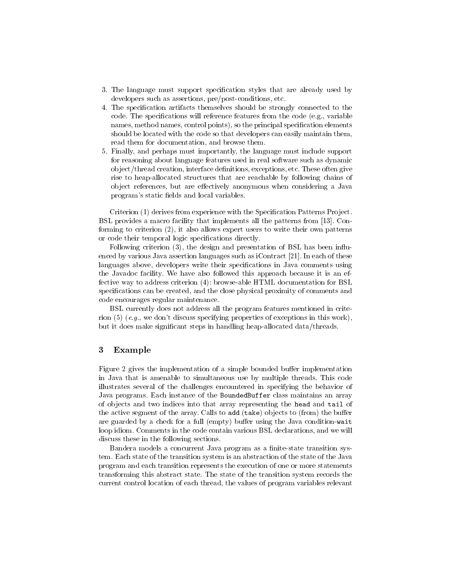- 3. The language must support specication styles that are already used by developers such as assertions, pre/post-conditions, etc.
- 4. The specication artifacts themselves should be strongly connected to the code. The specications will reference features from the code (e.g., variable names, method names, control points), so the principal specification elements should be located with the code so that developers can easily maintain them, read them for documentation, and browse them.
- 5. Finally, and perhaps must importantly, the language must include support for reasoning about language features used in real software such as dynamic object/thread creation, interface definitions, exceptions, etc. These often give rise to heap-allocated structures that are reachable by following chains of object references, but are effectively anonymous when considering a Java program's static fields and local variables.

Criterion (1) derives from experience with the Specification Patterns Project. BSL provides a macro facility that implements all the patterns from [13]. Conforming to criterion (2), it also allows expert users to write their own patterns or code their temporal logic specifications directly.

Following criterion (3), the design and presentation of BSL has been influenced by various Java assertion languages such as iContract [21]. In each of these languages above, developers write their specifications in Java comments using the Javadoc facility. We have also followed this approach because it is an effective way to address criterion (4): browse-able HTML documentation for BSL specifications can be created, and the close physical proximity of comments and code encourages regular maintenance.

BSL currently does not address all the program features mentioned in criterion (5) (e.g., we don't discuss specifying properties of exceptions in this work), but it does make signicant steps in handling heap-allocated data/threads.

# 3 Example

Figure 2 gives the implementation of a simple bounded buffer implementation in Java that is amenable to simultaneous use by multiple threads. This code illustrates several of the challenges encountered in specifying the behavior of Java programs. Each instance of the BoundedBuffer class maintains an array of ob jects and two indices into that array representing the head and tail of the active segment of the array. Calls to  $add$  (take) objects to (from) the buffer are guarded by a check for a full (empty) buffer using the Java condition-wait loop idiom. Comments in the code contain various BSL declarations, and we will discuss these in the following sections.

Bandera models a concurrent Java program as a finite-state transition system. Each state of the transition system is an abstraction of the state of the Java program and each transition represents the execution of one or more statements transforming this abstract state. The state of the transition system records the current control location of each thread, the values of program variables relevant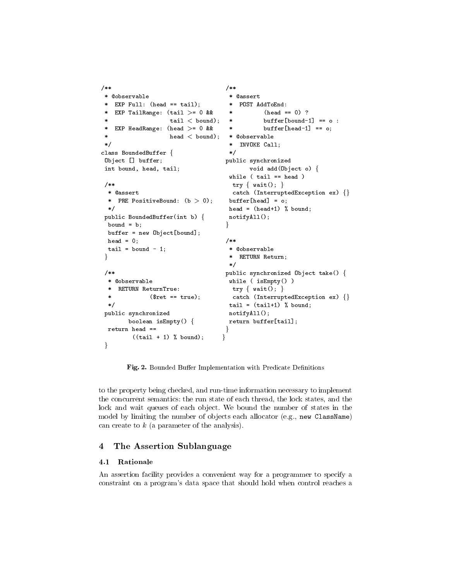```
/**
                                     /**
* @observable
                                      * @assert
\astEXP Full: (head == tail);
                                        POST AddToEnd:
                                      \ast\astEXP TailRange: (tail >= 0 &&
                                                (head == 0) ?\startail < bound);
                                      \starbuffer[bound-1] == o :\starEXP HeadRange: (head >= 0 &&
                                      \starbuffer[head-1] == o;k.
                    head < bound;
                                      * @observable
*/
                                      * INVOKE Call;
class BoundedBuffer f
                                      */
                                     public synchronized
Object [] buffer;
int bound, head, tail;
                                            void add(Object o) f
                                      while ( tail == head )
/**
                                       try { wait(); }
 * @assert
                                       catch (InterruptedException ex) \{\}* PRE PositiveBound: (b > 0);
                                      buffer[head] = o;
 \ast/
                                      head = (head+1) % bound;
  \sqrt{ }public BoundedBuffer(int b) f
                                      notifyAll();
 bound = b;\}buffer = new Object[bound];
 head = 0;1**/**
 tail = bound - 1;
                                      * @observable
\}* RETURN Return;
                                      */
                                     public synchronized Object take() {
 /**
 * @observable
                                      while ( isEmpty() )
 * RETURN ReturnTrue:
                                       try \{ wait(); \}(*<b>ret</b> == <b>true</b>);catch (InterruptedException ex) \{\}\ast*/
                                      tail = (tail+1) % bound;
public synchronized
                                      notifyAll();
        boolean isEmpty() {
                                      return buffer[tail];
 return head ==
                                     \}((tail + 1) % bound);\}\}
```
Fig. 2. Bounded Buffer Implementation with Predicate Definitions

to the property being checked, and run-time information necessary to implement the concurrent semantics: the run state of each thread, the lock states, and the lock and wait queues of each object. We bound the number of states in the model by limiting the number of objects each allocator (e.g., new ClassName) can create to  $k$  (a parameter of the analysis).

#### $\overline{4}$ The Assertion Sublanguage

#### $4.1$ **Rationale**

An assertion facility provides a convenient way for a programmer to specify a constraint on a program's data space that should hold when control reaches a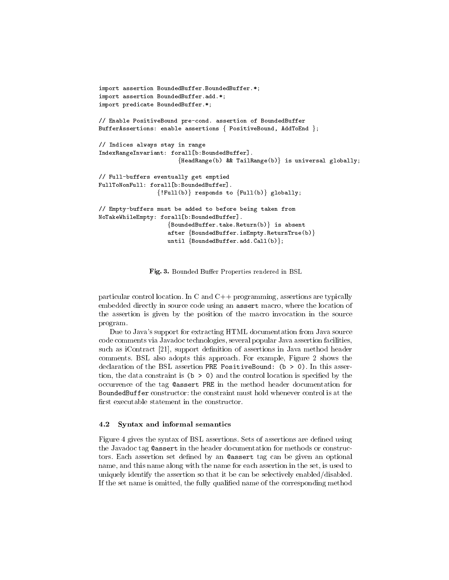```
import assertion BoundedBuffer.BoundedBuffer.*;
import assertion BoundedBuffer.add.*;
import predicate BoundedBuffer.*;
// Enable PositiveBound pre-cond. assertion of BoundedBuffer
BufferAssertions: enable assertions { PositiveBound, AddToEnd };
// Indices always stay in range
IndexRangeInvariant: forall[b:BoundedBuffer].
                       {HeadRange(b) && TailRange(b) is universal globally;
// Full-buffers eventually get emptied
FullToNonFull: forall[b:BoundedBuffer].
                 {[Full(b)} responds to {Full(b)} globally;
// Empty-buffers must be added to before being taken from
NoTakeWhileEmpty: forall[b:BoundedBuffer].
                    \{BoundedBuffer.title.F.Return(b)\} is absent
                    after \{BoundedBuffer.isEmpty.ReturTrue(b)\}until \{BoundedBuffer.add.Call(b)\};
```
Fig. 3. Bounded Buffer Properties rendered in BSL

particular control location. In C and C++ programming, assertions are typically embedded directly in source code using an assert macro, where the location of the assertion is given by the position of the macro invocation in the source program.

Due to Java's support for extracting HTML documentation from Java source code comments via Javadoc technologies, several popular Java assertion facilities, such as iContract [21], support definition of assertions in Java method header comments. BSL also adopts this approach. For example, Figure 2 shows the declaration of the BSL assertion PRE PositiveBound: (b  $>$  0). In this assertion, the data constraint is  $(b > 0)$  and the control location is specified by the occurrence of the tag @assert PRE in the method header documentation for BoundedBuffer constructor: the constraint must hold whenever control is at the first executable statement in the constructor.

### 4.2 Syntax and informal semantics

Figure 4 gives the syntax of BSL assertions. Sets of assertions are defined using the Javadoc tag @assert in the header documentation for methods or constructors. Each assertion set defined by an @assert tag can be given an optional name, and this name along with the name for each assertion in the set, is used to uniquely identify the assertion so that it be can be selectively enabled/disabled. If the set name is omitted, the fully qualied name of the corresponding method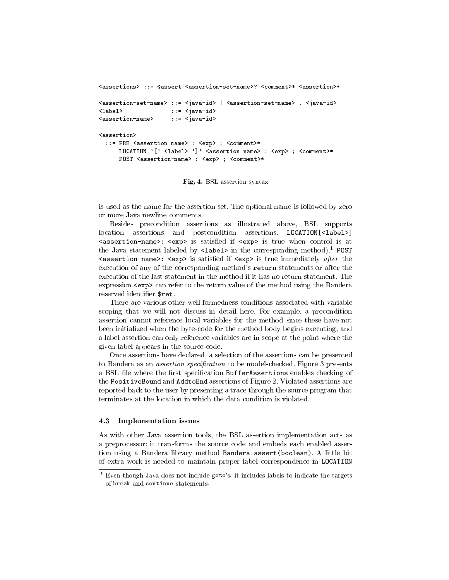```
<assertions> ::= @assert <assertion-set-name>? <comment>* <assertion>*
<assertion-set-name> ::= <java-id> | <assertion-set-name> . <java-id>
\langle \text{label} \rangle::= <java-id>
                    ::= <java-id>
<assertion-name>
<assertion>
  ::= PRE <assertion-name> : <exp> ; <comment>*
    | LOCATION '[' <label> ']' <assertion-name> : <exp> ; <comment>*
    | POST <assertion-name> : <exp> ; <comment>*
```
Fig. 4. BSL assertion syntax

is used as the name for the assertion set. The optional name is followed by zero or more Java newline comments.

Besides precondition assertions as illustrated above, BSL supports location assertions and postcondition assertions. LOCATION[<label>]  $\langle$ assertion-name>:  $\langle$ exp> is satisfied if  $\langle$ exp> is true when control is at the Java statement labeled by  $\langle$ label> in the corresponding method).<sup>1</sup> POST  $\zeta$  assertion-name>:  $\langle \exp \rangle$  is satisfied if  $\langle \exp \rangle$  is true immediately *after* the execution of any of the corresponding method's return statements or after the execution of the last statement in the method if it has no return statement. The expression  $\langle \text{exp} \rangle$  can refer to the return value of the method using the Bandera reserved identifier \$ret.

There are various other well-formedness conditions associated with variable scoping that we will not discuss in detail here. For example, a precondition assertion cannot reference local variables for the method since these have not been initialized when the byte-code for the method body begins executing, and a label assertion can only reference variables are in scope at the point where the given label appears in the source code.

Once assertions have declared, a selection of the assertions can be presented to Bandera as an *assertion specification* to be model-checked. Figure 3 presents a BSL file where the first specification BufferAssertions enables checking of the PositiveBound and AddtoEnd assertions of Figure 2. Violated assertions are reported back to the user by presenting a trace through the source program that terminates at the location in which the data condition is violated.

#### Implementation issues 4.3

As with other Java assertion tools, the BSL assertion implementation acts as a preprocessor: it transforms the source code and embeds each enabled assertion using a Bandera library method Bandera.assert(boolean). A little bit of extra work is needed to maintain proper label correspondence in LOCATION

<sup>1</sup> Even though Java does not include goto's, it includes labels to indicate the targets of break and continue statements.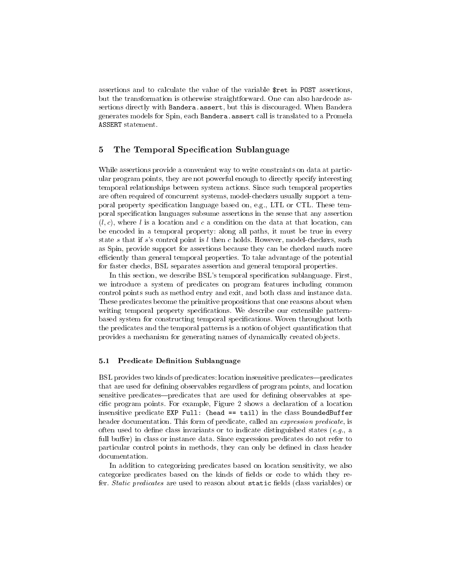assertions and to calculate the value of the variable \$ret in POST assertions, but the transformation is otherwise straightforward. One can also hardcode assertions directly with Bandera.assert, but this is discouraged. When Bandera generates models for Spin, each Bandera.assert call is translated to a Promela ASSERT statement.

#### $\overline{5}$ The Temporal Specification Sublanguage

While assertions provide a convenient way to write constraints on data at particular program points, they are not powerful enough to directly specify interesting temporal relationships between system actions. Since such temporal properties are often required of concurrent systems, model-checkers usually support a temporal property specification language based on, e.g., LTL or CTL. These temporal specification languages subsume assertions in the sense that any assertion  $(l, c)$ , where l is a location and c a condition on the data at that location, can be encoded in a temporal property: along all paths, it must be true in every state s that if s's control point is l then c holds. However, model-checkers, such as Spin, provide support for assertions because they can be checked much more efficiently than general temporal properties. To take advantage of the potential for faster checks, BSL separates assertion and general temporal properties.

In this section, we describe  $BSL$ 's temporal specification sublanguage. First, we introduce a system of predicates on program features including common control points such as method entry and exit, and both class and instance data. These predicates become the primitive propositions that one reasons about when writing temporal property specifications. We describe our extensible patternbased system for constructing temporal specifications. Woven throughout both the predicates and the temporal patterns is a notion of object quantification that provides a mechanism for generating names of dynamically created ob jects.

### 5.1 Predicate Definition Sublanguage

BSL provides two kinds of predicates: location insensitive predicates—predicates that are used for defining observables regardless of program points, and location sensitive predicates—predicates that are used for defining observables at specic program points. For example, Figure 2 shows a declaration of a location insensitive predicate EXP Full: (head == tail) in the class BoundedBuffer header documentation. This form of predicate, called an *expression predicate*, is often used to define class invariants or to indicate distinguished states  $(e.g., a$ full buffer) in class or instance data. Since expression predicates do not refer to particular control points in methods, they can only be dened in class header documentation.

In addition to categorizing predicates based on location sensitivity, we also categorize predicates based on the kinds of fields or code to which they refer. Static predicates are used to reason about static fields (class variables) or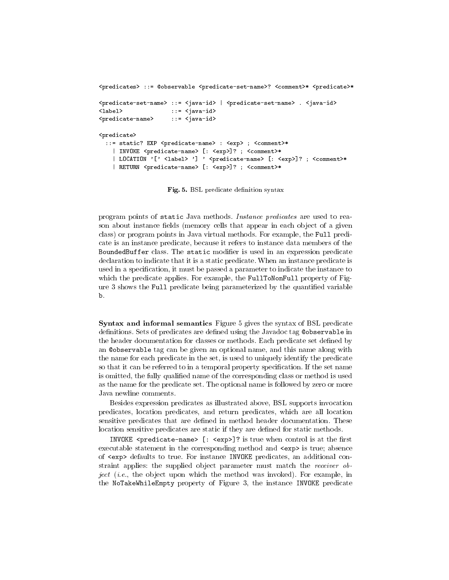```
<predicates> ::= @observable <predicate-set-name>? <comment>* <predicate>*
<predicate-set-name> ::= <java-id> | <predicate-set-name> . <java-id>
\langlelabel>
                     ::= <java-id>
<predicate-name> ::= <java-id>
<predicate>
  ::= static? EXP <predicate-name> : <exp> ; <comment>*
    | INVOKE <predicate-name> [: <exp>]? ; <comment>*
    | LOCATION '[' <label> '] ' <predicate-name> [: <exp>]? ; <comment>*
    | RETURN <predicate-name> [: <exp>]? ; <comment>*
```
Fig. 5. BSL predicate definition syntax

program points of static Java methods. Instance predicates are used to reason about instance fields (memory cells that appear in each object of a given class) or program points in Java virtual methods. For example, the Full predicate is an instance predicate, because it refers to instance data members of the BoundedBuffer class. The static modifier is used in an expression predicate declaration to indicate that it is a static predicate. When an instance predicate is used in a specication, it must be passed a parameter to indicate the instance to which the predicate applies. For example, the FullToNonFull property of Figure 3 shows the Full predicate being parameterized by the quantied variable

Syntax and informal semantics Figure 5 gives the syntax of BSL predicate definitions. Sets of predicates are defined using the Javadoc tag Cobservable in the header documentation for classes or methods. Each predicate set defined by an @observable tag can be given an optional name, and this name along with the name for each predicate in the set, is used to uniquely identify the predicate so that it can be referred to in a temporal property specification. If the set name is omitted, the fully qualified name of the corresponding class or method is used as the name for the predicate set. The optional name is followed by zero or more Java newline comments.

Besides expression predicates as illustrated above, BSL supports invocation predicates, location predicates, and return predicates, which are all location sensitive predicates that are defined in method header documentation. These location sensitive predicates are static if they are defined for static methods.

INVOKE  $\epsilon$  predicate-name> [:  $\epsilon$ exp>]? is true when control is at the first executable statement in the corresponding method and  $\langle \text{exp} \rangle$  is true; absence of <exp> defaults to true. For instance INVOKE predicates, an additional constraint applies: the supplied object parameter must match the *receiver ob*ject (i.e., the ob ject upon which the method was invoked). For example, in the NoTakeWhileEmpty property of Figure 3, the instance INVOKE predicate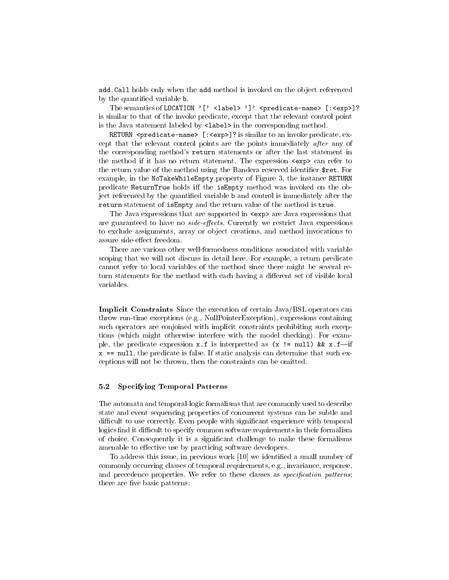add.Call holds only when the add method is invoked on the object referenced by the quantified variable **b**.

The semantics of LOCATION '[' <label> ']' <predicate-name> [:<exp>]? is similar to that of the invoke predicate, except that the relevant control point is the Java statement labeled by <label> in the corresponding method.

RETURN <predicate-name> [: <exp>]? is similar to an invoke predicate, except that the relevant control points are the points immediately after any of the corresponding method's return statements or after the last statement in the method if it has no return statement. The expression <exp> can refer to the return value of the method using the Bandera reserved identifier \$ret. For example, in the NoTakeWhileEmpty property of Figure 3, the instance RETURN predicate ReturnTrue holds iff the isEmpty method was invoked on the object referenced by the quantified variable **b** and control is immediately after the return statement of isEmpty and the return value of the method is true.

The Java expressions that are supported in  $\langle \text{exp} \rangle$  are Java expressions that are guaranteed to have no *side-effects*. Currently we restrict Java expressions to exclude assignments, array or ob ject creations, and method invocations to assure side-effect freedom.

There are various other well-formedness conditions associated with variable scoping that we will not discuss in detail here. For example, a return predicate cannot refer to local variables of the method since there might be several return statements for the method with each having a different set of visible local variables.

Implicit Constraints Since the execution of certain Java/BSL operators can throw run-time exceptions (e.g., NullPointerException), expressions containing such operators are conjoined with implicit constraints prohibiting such exceptions (which might otherwise interfere with the model checking). For example, the predicate expression x.f is interpretted as  $(x := null)$  & x.f—if x == null, the predicate is false. If static analysis can determine that such exceptions will not be thrown, then the constraints can be omitted.

### 5.2 Specifying Temporal Patterns

The automata and temporal-logic formalisms that are commonly used to describe state and event sequencing properties of concurrent systems can be subtle and difficult to use correctly. Even people with significant experience with temporal logics find it difficult to specify common software requirements in their formalism of choice. Consequently it is a significant challenge to make these formalisms amenable to effective use by practicing software developers.

To address this issue, in previous work [10] we identied a small number of commonly occurring classes of temporal requirements, e.g., invariance, response, and precedence properties. We refer to these classes as *specification patterns*; there are five basic patterns: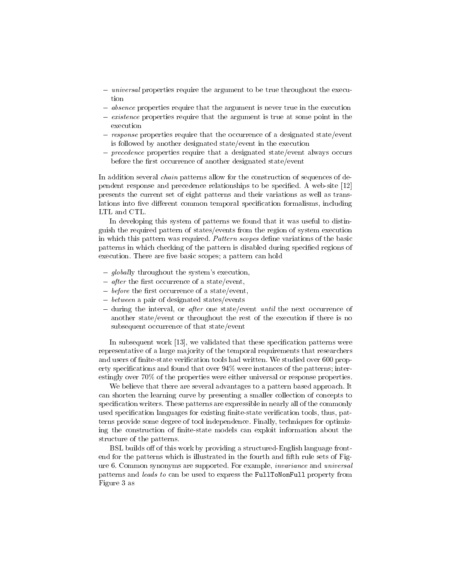- ${\it -}$  universal properties require the argument to be true throughout the execu-
- ${ }$  absence properties require that the argument is never true in the execution
- ${ }-$  existence properties require that the argument is true at some point in the execution
- ${\rm -}$  response properties require that the occurrence of a designated state/event is followed by another designated state/event in the execution
- $=$  precedence properties require that a designated state/event always occurs before the first occurrence of another designated state/event

In addition several *chain* patterns allow for the construction of sequences of dependent response and precedence relationships to be specied. A web-site [12] presents the current set of eight patterns and their variations as well as translations into five different common temporal specification formalisms, including LTL and CTL.

In developing this system of patterns we found that it was useful to distinguish the required pattern of states/events from the region of system execution in which this pattern was required. Pattern scopes define variations of the basic patterns in which checking of the pattern is disabled during specied regions of execution. There are five basic scopes; a pattern can hold

- $=$  globally throughout the system's execution,
- $-$  after the first occurrence of a state/event,
- $\bar{b}$  before the first occurrence of a state/event,
- $\bar{b}$  between a pair of designated states/events
- ${\bf -}$  during the interval, or *after* one state/event *until* the next occurrence of another state/event or throughout the rest of the execution if there is no subsequent occurrence of that state/event

In subsequent work [13], we validated that these specification patterns were representative of a large majority of the temporal requirements that researchers and users of finite-state verification tools had written. We studied over 600 property specifications and found that over  $94\%$  were instances of the patterns; interestingly over 70% of the properties were either universal or response properties.

We believe that there are several advantages to a pattern based approach. It can shorten the learning curve by presenting a smaller collection of concepts to specification writers. These patterns are expressible in nearly all of the commonly used specification languages for existing finite-state verification tools, thus, patterns provide some degree of tool independence. Finally, techniques for optimizing the construction of finite-state models can exploit information about the structure of the patterns.

BSL builds off of this work by providing a structured-English language frontend for the patterns which is illustrated in the fourth and fth rule sets of Figure 6. Common synonyms are supported. For example, invariance and universal patterns and leads to can be used to express the FullToNonFull property from Figure 3 as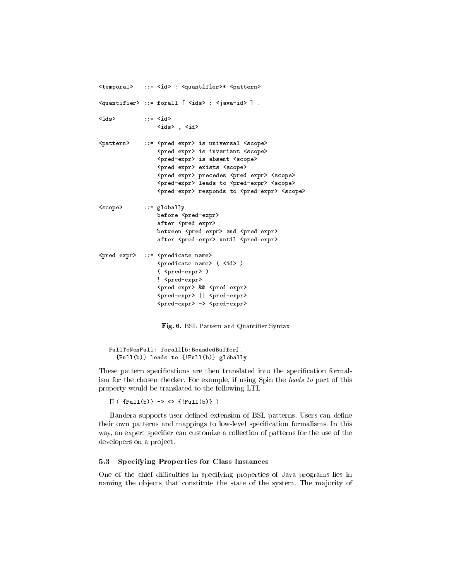```
<temporal> ::= <id> : <quantifier>* <pattern>
<quantifier> ::= forall [ <ids> : <java-id> ] .
             ::= <i>i</i>d>\langleids>
               | <ids>, <id>
<pattern> ::= <pred-expr> is universal <scope>
               | <pred-expr> is invariant <scope>
               | <pred-expr> is absent <scope>
               | <pred-expr> exists <scope>
               | <pred-expr> precedes <pred-expr> <scope>
               | <pred-expr> leads to <pred-expr> <scope>
               | <pred-expr> responds to <pred-expr> <scope>
<scope> ::= globally
               | before <pred-expr>
               | after <pred-expr>
               | between <pred-expr> and <pred-expr>
               | after <pred-expr> until <pred-expr>
<pred-expr> ::= <predicate-name>
               | <predicate-name> ( <id> )
               | ( <pred-expr> )
               | ! <pred-expr>
               | <pred-expr> && <pred-expr>
               | <pred-expr> || <pred-expr>
               | <pred-expr> -> <pred-expr>
```
Fig. 6. BSL Pattern and Quantifier Syntax

```
FullToNonFull: forall[b:BoundedBuffer].
  {Full(b)} leads to {!Full(b)} globally
```
These pattern specifications are then translated into the specification formalism for the chosen checker. For example, if using Spin the leads to part of this property would be translated to the following LTL

 $[]({\{Full(b)\}} \rightarrow \diamondsuit {\{[Full(b)\}} )$ 

Bandera supports user defined extension of BSL patterns. Users can define their own patterns and mappings to low-level specication formalisms. In this way, an expert specier can customize a collection of patterns for the use of the developers on a project.

### 5.3 Specifying Properties for Class Instances

One of the chief difficulties in specifying properties of Java programs lies in naming the objects that constitute the state of the system. The majority of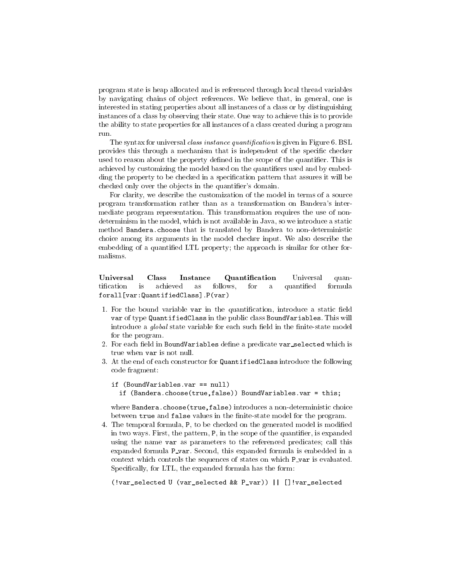program state is heap allocated and is referenced through local thread variables by navigating chains of ob ject references. We believe that, in general, one is interested in stating properties about all instances of a class or by distinguishing instances of a class by observing their state. One way to achieve this is to provide the ability to state properties for all instances of a class created during a program run.

The syntax for universal *class instance quantification* is given in Figure 6. BSL provides this through a mechanism that is independent of the specic checker used to reason about the property defined in the scope of the quantifier. This is achieved by customizing the model based on the quantifiers used and by embedding the property to be checked in a specification pattern that assures it will be checked only over the objects in the quantifier's domain.

For clarity, we describe the customization of the model in terms of a source program transformation rather than as a transformation on Bandera's intermediate program representation. This transformation requires the use of nondeterminism in the model, which is not available in Java, so we introduce a static method Bandera.choose that is translated by Bandera to non-deterministic choice among its arguments in the model checker input. We also describe the embedding of a quantied LTL property; the approach is similar for other formalisms.

Universal Class Instance Quantification Universal quantification is achieved as follows, for a quantified formula is  $\overline{a}$ forall[var:QuantifiedClass].P(var)

- 1. For the bound variable var in the quantification, introduce a static field var of type QuantifiedClass in the public class BoundVariables. This will introduce a *global* state variable for each such field in the finite-state model for the program.
- 2. For each field in BoundVariables define a predicate var\_selected which is true when var is not null.
- 3. At the end of each constructor for QuantifiedClass introduce the following code fragment:
	- if (BoundVariables.var == null)
		- if (Bandera.choose(true,false)) BoundVariables.var = this;

where Bandera.choose(true,false) introduces a non-deterministic choice between true and false values in the finite-state model for the program.

4. The temporal formula, P, to be checked on the generated model is modied in two ways. First, the pattern, P, in the scope of the quantifier, is expanded using the name var as parameters to the referenced predicates; call this expanded formula P\_var. Second, this expanded formula is embedded in a context which controls the sequences of states on which P\_var is evaluated. Specifically, for LTL, the expanded formula has the form:

(!var\_selected U (var\_selected && P\_var)) || []!var\_selected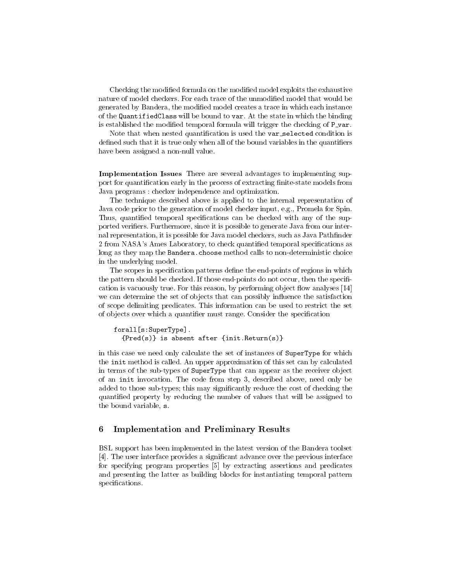Checking the modified formula on the modified model exploits the exhaustive nature of model checkers. For each trace of the unmodified model that would be generated by Bandera, the modied model creates a trace in which each instance of the QuantifiedClass will be bound to var. At the state in which the binding is established the modified temporal formula will trigger the checking of P\_var.

Note that when nested quantification is used the var\_selected condition is defined such that it is true only when all of the bound variables in the quantifiers have been assigned a non-null value.

Implementation Issues There are several advantages to implementing support for quantification early in the process of extracting finite-state models from Java programs : checker independence and optimization.

The technique described above is applied to the internal representation of Java code prior to the generation of model checker input, e.g., Promela for Spin. Thus, quantified temporal specifications can be checked with any of the supported verifiers. Furthermore, since it is possible to generate Java from our internal representation, it is possible for Java model checkers, such as Java Pathfinder 2 from NASA's Ames Laboratory, to check quantified temporal specifications as long as they map the Bandera.choose method calls to non-deterministic choice in the underlying model.

The scopes in specification patterns define the end-points of regions in which the pattern should be checked. If those end-points do not occur, then the specification is vacuously true. For this reason, by performing object flow analyses  $[14]$ we can determine the set of objects that can possibly influence the satisfaction of scope delimiting predicates. This information can be used to restrict the set of objects over which a quantifier must range. Consider the specification

```
forall[s:SuperType].
  {Pred(s)} is absent after {init. Return(s)}
```
in this case we need only calculate the set of instances of SuperType for which the init method is called. An upper approximation of this set can by calculated in terms of the sub-types of SuperType that can appear as the receiver ob ject of an init invocation. The code from step 3, described above, need only be added to those sub-types; this may signicantly reduce the cost of checking the quantied property by reducing the number of values that will be assigned to the bound variable, s.

### 6 Implementation and Preliminary Results 6

BSL support has been implemented in the latest version of the Bandera toolset [4]. The user interface provides a signicant advance over the previous interface for specifying program properties [5] by extracting assertions and predicates and presenting the latter as building blocks for instantiating temporal pattern specifications.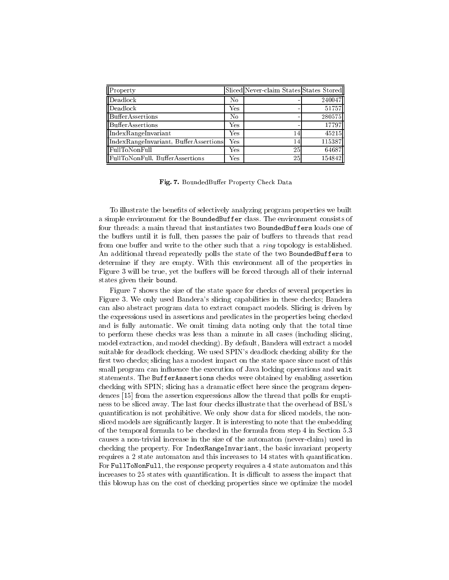| $\blacksquare$ Property               |              | Sliced Never-claim States States Stored |        |
|---------------------------------------|--------------|-----------------------------------------|--------|
| Deadlock                              | No           |                                         | 240047 |
| Deadlock                              | $_{\rm Yes}$ |                                         | 51757  |
| Buffer Assertions                     | No           |                                         | 280575 |
| Buffer Assertions                     | Yes.         |                                         | 17797  |
| IndexRangeInvariant                   | Yes.         | 14                                      | 45215  |
| IndexRangeInvariant, BufferAssertions | <b>Yes</b>   | 14                                      | 115387 |
| FullToNonFull                         | Yes          | 25                                      | 64687  |
| FullToNonFull, BufferAssertions       | Yes.         | 25                                      | 154842 |

Fig. 7. BoundedBuffer Property Check Data

To illustrate the benefits of selectively analyzing program properties we built a simple environment for the BoundedBuffer class. The environment consists of four threads: a main thread that instantiates two BoundedBuffers loads one of the buffers until it is full, then passes the pair of buffers to threads that read from one buffer and write to the other such that a *ring* topology is established. An additional thread repeatedly polls the state of the two BoundedBuffers to determine if they are empty. With this environment all of the properties in Figure 3 will be true, yet the buffers will be forced through all of their internal states given their bound.

Figure 7 shows the size of the state space for checks of several properties in Figure 3. We only used Bandera's slicing capabilities in these checks; Bandera can also abstract program data to extract compact models. Slicing is driven by the expressions used in assertions and predicates in the properties being checked and is fully automatic. We omit timing data noting only that the total time to perform these checks was less than a minute in all cases (including slicing, model extraction, and model checking). By default, Bandera will extract a model suitable for deadlock checking. We used SPIN's deadlock checking ability for the first two checks; slicing has a modest impact on the state space since most of this small program can influence the execution of Java locking operations and wait statements. The BufferAssertions checks were obtained by enabling assertion checking with SPIN; slicing has a dramatic effect here since the program dependences [15] from the assertion expressions allow the thread that polls for emptiness to be sliced away. The last four checks illustrate that the overhead of BSL's quantication is not prohibitive. We only show data for sliced models, the nonsliced models are signicantly larger. It is interesting to note that the embedding of the temporal formula to be checked in the formula from step 4 in Section 5.3 causes a non-trivial increase in the size of the automaton (never-claim) used in checking the property. For IndexRangeInvariant, the basic invariant property requires a 2 state automaton and this increases to 14 states with quantication. For FullToNonFull, the response property requires a 4 state automaton and this increases to 25 states with quantification. It is difficult to assess the impact that this blowup has on the cost of checking properties since we optimize the model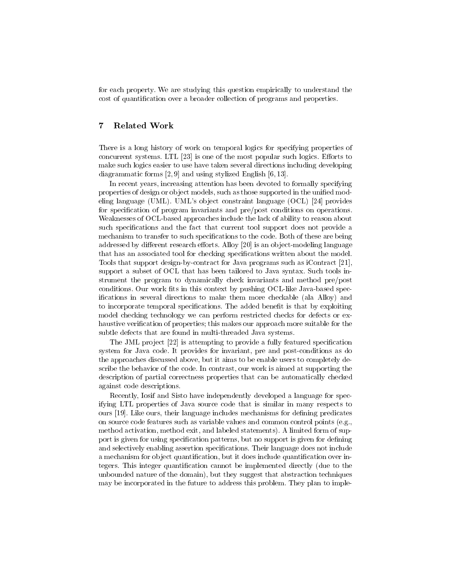for each property. We are studying this question empirically to understand the cost of quantication over a broader collection of programs and properties.

### $\overline{7}$ **Related Work**

There is a long history of work on temporal logics for specifying properties of concurrent systems. LTL  $[23]$  is one of the most popular such logics. Efforts to make such logics easier to use have taken several directions including developing diagrammatic forms [2, 9] and using stylized English [6, 13].

In recent years, increasing attention has been devoted to formally specifying properties of design or object models, such as those supported in the unified modeling language (UML). UML's ob ject constraint language (OCL) [24] provides for specication of program invariants and pre/post conditions on operations. Weaknesses of OCL-based approaches include the lack of ability to reason about such specications and the fact that current tool support does not provide a mechanism to transfer to such specifications to the code. Both of these are being addressed by different research efforts. Alloy [20] is an object-modeling language that has an associated tool for checking specications written about the model. Tools that support design-by-contract for Java programs such as iContract [21], support a subset of OCL that has been tailored to Java syntax. Such tools instrument the program to dynamically check invariants and method pre/post conditions. Our work fits in this context by pushing OCL-like Java-based specications in several directions to make them more checkable (ala Alloy) and to incorporate temporal specifications. The added benefit is that by exploiting model checking technology we can perform restricted checks for defects or exhaustive verification of properties; this makes our approach more suitable for the subtle defects that are found in multi-threaded Java systems.

The JML project [22] is attempting to provide a fully featured specification system for Java code. It provides for invariant, pre and post-conditions as do the approaches discussed above, but it aims to be enable users to completely describe the behavior of the code. In contrast, our work is aimed at supporting the description of partial correctness properties that can be automatically checked against code descriptions.

Recently, Iosif and Sisto have independently developed a language for specifying LTL properties of Java source code that is similar in many respects to ours [19]. Like ours, their language includes mechanisms for defining predicates on source code features such as variable values and common control points (e.g., method activation, method exit, and labeled statements). A limited form of support is given for using specification patterns, but no support is given for defining and selectively enabling assertion specifications. Their language does not include a mechanism for object quantification, but it does include quantification over integers. This integer quantication cannot be implemented directly (due to the unbounded nature of the domain), but they suggest that abstraction techniques may be incorporated in the future to address this problem. They plan to imple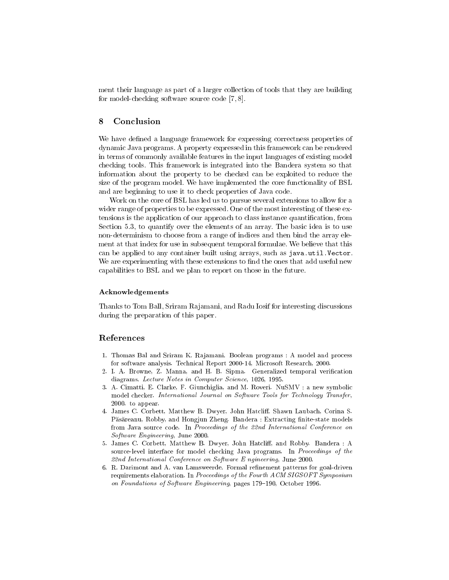ment their language as part of a larger collection of tools that they are building for model-checking software source code [7, 8].

### 8 **Conclusion**

We have defined a language framework for expressing correctness properties of dynamic Java programs. A property expressed in this framework can be rendered in terms of commonly available features in the input languages of existing model checking tools. This framework is integrated into the Bandera system so that information about the property to be checked can be exploited to reduce the size of the program model. We have implemented the core functionality of BSL and are beginning to use it to check properties of Java code.

Work on the core of BSL has led us to pursue several extensions to allow for a wider range of properties to be expressed. One of the most interesting of these extensions is the application of our approach to class instance quantification, from Section 5.3, to quantify over the elements of an array. The basic idea is to use non-determinism to choose from a range of indices and then bind the array element at that index for use in subsequent temporal formulae. We believe that this can be applied to any container built using arrays, such as java.util.Vector. We are experimenting with these extensions to find the ones that add useful new capabilities to BSL and we plan to report on those in the future.

### Acknowledgements

Thanks to Tom Ball, Sriram Rajamani, and Radu Iosif for interesting discussions during the preparation of this paper.

# References

- 1. Thomas Bal and Sriram K. Rajamani. Boolean programs : A model and process for software analysis. Technical Report 2000-14, Microsoft Research, 2000.
- 2. I. A. Browne, Z. Manna, and H. B. Sipma. Generalized temporal verication diagrams. Lecture Notes in Computer Science, 1026, 1995.
- 3. A. Cimatti, E. Clarke, F. Giunchiglia, and M. Roveri. NuSMV : a new symbolic model checker. International Journal on Software Tools for Technology Transfer, 2000. to appear.
- 4. James C. Corbett, Matthew B. Dwyer, John Hatcliff, Shawn Laubach, Corina S. Păsăreanu, Robby, and Hongjun Zheng. Bandera : Extracting finite-state models from Java source code. In Proceedings of the 22nd International Conference on Software Engineering, June 2000.
- 5. James C. Corbett, Matthew B. Dwyer, John Hatcliff, and Robby. Bandera: A source-level interface for model checking Java programs. In Proceedings of the 22nd International Conference on Software E ngineering, June 2000.
- 6. R. Darimont and A. van Lamsweerde. Formal refinement patterns for goal-driven requirements elaboration. In Proceedings of the Fourth ACM SIGSOFT Symposium on Foundations of Software Engineering, pages 179-190, October 1996.